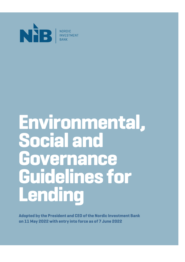

# **Environmental, Social and Governance Guidelines for Lending**

**Adopted by the President and CEO of the Nordic Investment Bank on 11 May 2022 with entry into force as of 7 June 2022**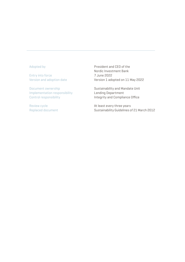#### Adopted by

Entry into force Version and adoption date

Document ownership Implementation responsibility Control responsibility

Review cycle Replaced document President and CEO of the Nordic Investment Bank 7 June 2022 Version 1 adopted on 11 May 2022

Sustainability and Mandate Unit Lending Department Integrity and Compliance Office

At least every three years Sustainability Guidelines of 21 March 2012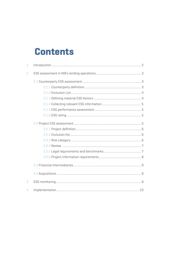# **Contents**

| 1                        |  |
|--------------------------|--|
| 2                        |  |
|                          |  |
|                          |  |
|                          |  |
|                          |  |
|                          |  |
|                          |  |
|                          |  |
|                          |  |
|                          |  |
|                          |  |
|                          |  |
|                          |  |
|                          |  |
|                          |  |
|                          |  |
|                          |  |
| 3                        |  |
| $\overline{\mathcal{L}}$ |  |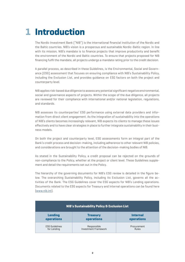# <span id="page-3-0"></span>**1 Introduction**

The Nordic Investment Bank ("NIB") is the international financial institution of the Nordic and the Baltic countries. NIB's vision is a prosperous and sustainable Nordic-Baltic region. In line with its mission, NIB's mandate is to finance projects that improve productivity and benefit the environment of the Nordic and Baltic countries. To ensure that projects proposed for NIB financing fulfil the mandate, all projects undergo a mandate rating prior to the credit decision.

A parallel process, as described in these Guidelines, is the Environmental, Social and Governance (ESG) assessment that focuses on ensuring compliance with NIB's Sustainability Policy, including the Exclusion List, and provides guidance on ESG factors on both the project and counterparty level.

NIB applies risk-based due diligence to assess any potential significant negative environmental, social and governance aspects of projects. Within the scope of the due diligence, all projects are reviewed for their compliance with international and/or national legislation, regulations, and standards.

NIB assesses its counterparties' ESG performance using external data providers and information from direct client engagement. As the integration of sustainability into the operations of NIB's clients becomes increasingly relevant, NIB expects its clients to manage these issues effectively and to have clear strategies in place to further integrate sustainability in their business models.

On both the project and counterparty level, ESG assessments form an integral part of the Bank's credit process and decision-making, including adherence to other relevant NIB policies, and considerations are brought to the attention of the decision-making bodies of NIB.

As stated in the Sustainability Policy, a credit proposal can be rejected on the grounds of non-compliance to the Policy, whether at the project or client level. These Guidelines supplement and detail the requirements set out in the Policy.

The hierarchy of the governing documents for NIB's ESG review is detailed in the figure below. The overarching Sustainability Policy, including its Exclusion List, governs all the activities of the Bank. The ESG Guidelines cover the ESG aspects for NIB's Lending operations. Documents related to the ESG aspects for Treasury and Internal operations can be found here [\(www.nib.int\)](http://www.nib.int).

| <b>NIB's Sustainability Policy &amp; Exclusion List</b> |                                     |                               |  |
|---------------------------------------------------------|-------------------------------------|-------------------------------|--|
| <b>Lending</b><br>operations                            | <b>Treasury</b><br>operations       | <b>Internal</b><br>operations |  |
| <b>ESG Guidelines</b><br>for Lending                    | Responsible<br>Investment Framework | Procurement<br><b>Rules</b>   |  |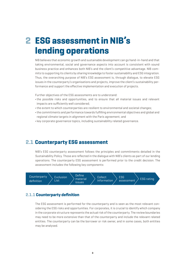# <span id="page-4-0"></span>**2 ESG assessment in NIB's lending operations**

NIB believes that economic growth and sustainable development can go hand-in-hand and that taking environmental, social and governance aspects into account is consistent with sound business practice and enhances both NIB's and the client's competitive advantage. NIB commits to supporting its clients by sharing knowledge to foster sustainability and ESG integration. Thus, the overarching purpose of NIB's ESG assessment is, through dialogue, to elevate ESG issues in the counterparty's organisations and projects, improve the client's sustainability performance and support the effective implementation and execution of projects.

Further objectives of the ESG assessments are to understand:

- **•** the possible risks and opportunities, and to ensure that all material issues and relevant impacts are sufficiently well considered;
- **•** the extent to which counterparties are resilient to environmental and societal changes;
- **•** the commitments and performance towards fulfilling environmental objectives and global and regional climate targets in alignment with the Paris agreement; and
- **•** key corporate governance topics, including sustainability related governance.

# **2.1 Counterparty ESG assessment**

NIB's ESG counterparty assessment follows the principles and commitments detailed in the Sustainability Policy. Those are reflected in the dialogue with NIB's clients as part of our lending operations. The counterparty ESG assessment is performed prior to the credit decision. The assessment includes the following key components:



### **2.1.1 Counterparty definition**

The ESG assessment is performed for the counterparty and is seen as the most relevant considering the ESG risks and opportunities. For corporates, it is crucial to identify which company in the corporate structure represents the actual risk of the counterparty. The review boundaries may need to be more extensive than that of the counterparty and include the relevant related entities. The counterparty can be the borrower or risk owner, and in some cases, both entities may be analysed.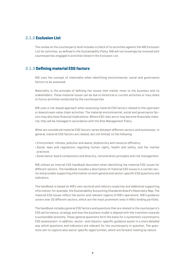### <span id="page-5-0"></span>**2.1.2 Exclusion List**

The review on the counterparty level includes a check of its activities against the NIB Exclusion List for activities, as defined in the Sustainability Policy. NIB will not knowingly be involved with counterparties engaged in activities listed in the Exclusion List.

### **2.1.3 Defining material ESG factors**

NIB uses the concept of materiality when identifying environmental, social and governance factors to be assessed.

Materiality is the principle of defining the issues that matter most to the business and its stakeholders. These material issues can be due to historical or current activities or may relate to future activities conducted by the counterparties.

NIB uses a risk-based approach when assessing material ESG factors related to the upstream or downstream value chain activities. The material environmental, social and governance factors may also have financial implications. Where ESG risks are or may become financially material, they will be managed in accordance with the Risk Management Policy.

What are considered material ESG factors varies between different sectors and businesses. In general, material ESG factors are related, but not limited, to the following:

- **•** Environment: climate, pollution and waste, biodiversity and resource efficiency
- **•** Social: laws and regulations regarding human rights, health and safety, and fair market practices
- **•** Governance: board composition and diversity, remuneration principles and risk management

NIB utilises an internal ESG handbook document when identifying the material ESG issues for different sectors. The handbook includes a description of material ESG issues in a certain sector and provides supporting information on both general and sector-specific ESG questions and indicators.

The handbook is based on NIB's own sectoral and industry expertise and additional supporting information, for example, the Sustainability Accounting Standards Board's Materiality Map. The material ESG issues reflect the sector and relevant regions of NIB's operations. NIB's guidance covers over 20 different sectors, which are the most prominent ones in NIB's lending portfolio.

The handbook includes general ESG factors and questions that are related to the counterparty's ESG performance, strategy and how the business model is aligned with the transition towards a sustainable economy. These general questions form the basis for a systematic counterparty ESG assessment. In addition, sector- and industry-specific guidance assist in a more detailed way which questions and indicators are relevant for the counterparty in question. The questions aim to capture also sector specific opportunities, which are forward-looking by nature.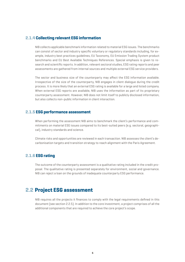# <span id="page-6-0"></span>**2.1.4 Collecting relevant ESG information**

NIB collects applicable benchmark information related to material ESG issues. The benchmarks can consist of sector and industry specific voluntary or regulatory standards including, for example, industry best practices guidelines, EU Taxonomy, EU Emission Trading System product benchmarks and EU Best Available Techniques References. Special emphasis is given to research and scientific reports. In addition, relevant sectoral studies, ESG rating reports and peer assessments are gathered from internal sources and multiple external ESG service providers.

The sector and business size of the counterparty may affect the ESG information available. Irrespective of the size of the counterparty, NIB engages in client dialogue during the credit process. It is more likely that an external ESG rating is available for a large and listed company. When external ESG reports are available, NIB uses the information as part of its proprietary counterparty assessment. However, NIB does not limit itself to publicly disclosed information, but also collects non-public information in client interaction.

#### **2.1.5 ESG performance assessment**

When performing the assessment NIB aims to benchmark the client's performance and commitments on material ESG issues compared to its best-suited peers (e.g. sectoral, geographical), industry standards and science.

Climate risks and opportunities are reviewed in each transaction. NIB assesses the client's decarbonisation targets and transition strategy to reach alignment with the Paris Agreement.

### **2.1.6 ESG rating**

The outcome of the counterparty assessment is a qualitative rating included in the credit proposal. The qualitative rating is presented separately for environment, social and governance. NIB can reject a loan on the grounds of inadequate counterparty ESG performance.

# **2.2 Project ESG assessment**

NIB requires all the projects it finances to comply with the legal requirements defined in this document (see section 2.2.5). In addition to the core investment, a project comprises of all the additional components that are required to achieve the core project's scope.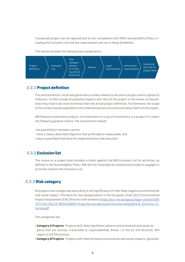<span id="page-7-0"></span>A proposed project can be rejected due to non-compliance with NIB's Sustainability Policy, including the Exclusion List and the requirements set out in these Guidelines.

The review includes the following key components:



# **2.2.1 Project definition**

The environmental, social and governance review relates to the entire project and its sphere of influence. To fully include all potential impacts and risks of the project in the review, its boundaries may need to be more extensive than the actual project definition. Furthermore, the scope of the review may be expanded to the related business activities and value chains of the project.

NIB finances investment projects. An investment or a set of investments is a project if it meets the following general criteria. The investments should:

- **•** be quantified in monetary terms;
- **•** have a clearly described objective that preferably is measurable; and
- **•** have a specified timeframe for implementation and execution.

# **2.2.2 Exclusion list**

The review on a project level includes a check against the NIB Exclusion List for activities, as defined in the Sustainability Policy. NIB will not knowingly be involved with projects engaged in activities listed in the Exclusion List.

### **2.2.3 Risk category**

All projects are categorised according to the significance of their likely negative environmental and social impact. The basis for the categorisation is the European Union (EU) Environmental Impact Assessment (EIA) Directive with annexes ([https://eur-lex.europa.eu/legal-content/EN/](https://eur-lex.europa.eu/legal-content/EN/TXT/?uri=CELEX:32014L0052) [TXT/?uri=CELEX:32014L0052](https://eur-lex.europa.eu/legal-content/EN/TXT/?uri=CELEX:32014L0052)).[https://ec.europa.eu/environment/eia/pdf/EIA\\_Directive\\_in](https://ec.europa.eu/environment/eia/pdf/EIA_Directive_informal.pdf)[formal.pdf](https://ec.europa.eu/environment/eia/pdf/EIA_Directive_informal.pdf)

The categories are:

- **• Category A Projects**: Projects with likely significant adverse environmental and social im pacts that are diverse, irreversible or unprecedented, Annex I in the EU EIA Directive. Will require a full EIA process.
- **• Category B Projects**: Projects with likely limited environmental and social impacts, generally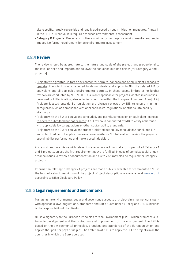<span id="page-8-0"></span>site-specific, largely reversible and readily addressed through mitigation measures, Annex II in the EU EIA Directive. Will require a focused environmental assessment.

**• Category C Projects**: Projects with likely minimal or no negative environmental and social impact. No formal requirement for an environmental assessment.

# **2.2.4 Review**

The review should be appropriate to the nature and scale of the project, and proportional to the level of risks and impacts and follows the sequence outlined below (for Category A and B projects):

- **•** Projects with granted, in force environmental permits, concessions or equivalent licences to operate: The client is only required to demonstrate and supply to NIB the related EIA or equivalent and all applicable environmental permits. In these cases, limited or no further reviews are conducted by NIB. NOTE: This is only applicable for projects located in countries governed by EU legislation, also including countries within the European Economic Area (EEA). Projects located outside EU legislation are always reviewed by NIB to ensure minimum safeguards such as compliance with applicable laws, regulations, or other sustainability standards.
- **•** Projects with the EIA or equivalent concluded, and permit, concession or equivalent licences to operate submitted but not granted: A full review is conducted by NIB to verify adherence with applicable laws, regulations or other sustainability standards.
- **•** Projects with the EIA or equivalent process initiated but no EIA concluded: A concluded EIA and submitted permit application are a prerequisite for NIB to be able to review the projects sustainability performance and make a credit decision.

A site visit and interviews with relevant stakeholders will normally form part of all Category A and B projects, unless the first requirement above is fulfilled. In case of complex social or governance issues, a review of documentation and a site visit may also be required for Category C projects.

Information relating to Category A projects are made publicly available for comments to NIB in the form of a short description of the project. Project descriptions are available at [www.nib.int](http://www.nib.int) according to NIB's Disclosure Policy.

# **2.2.5 Legal requirements and benchmarks**

Managing the environmental, social and governance aspects of projects in a manner consistent with applicable laws, regulations, standards and NIB's Sustainability Policy and ESG Guidelines is the responsibility of the clients.

NIB is a signatory to the European Principles for the Environment (EPE), which promotes sustainable development and the protection and improvement of the environment. The EPE is based on the environmental principles, practices and standards of the European Union and applies the "polluter pays principle". The ambition of NIB is to apply the EPE to projects in all the countries in which the Bank operates.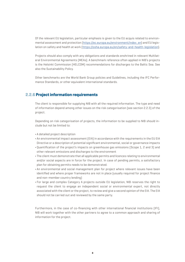<span id="page-9-0"></span>Of the relevant EU legislation, particular emphasis is given to the EU acquis related to environmental assessment and protection [\(https://ec.europa.eu/environment/index\\_en](https://ec.europa.eu/environment/index_en)) and EU legislation on safety and health at work ([https://osha.europa.eu/en/safety-and-health-legislation\)](https://osha.europa.eu/en/safety-and-health-legislation).

Projects should also comply with any obligations and standards enshrined in relevant Multilateral Environmental Agreements (MEAs). A benchmark reference often applied in NIB's projects is the Helsinki Commission (HELCOM) recommendations for discharges to the Baltic Sea. See also the Sustainability Policy.

Other benchmarks are the World Bank Group policies and Guidelines, including the IFC Performance Standards, or other equivalent international standards.

#### **2.2.6 Project information requirements**

The client is responsible for supplying NIB with all the required information. The type and need of information depend among other issues on the risk categorisation (see section 2.2.3) of the project.

Depending on risk categorisation of projects, the information to be supplied to NIB should include but not be limited to:

- **•** A detailed project description
- **•** An environmental impact assessment (EIA) in accordance with the requirements in the EU EIA Directive or a description of potential significant environmental, social or governance impacts
- **•** Quantification of the project's impacts on greenhouse gas emissions (Scope 1, 2 and 3) and other relevant emissions and discharges to the environment
- **•** The client must demonstrate that all applicable permits and licences relating to environmental and/or social aspects are in force for the project. In case of pending permits, a satisfactory plan for obtaining permits needs to be demonstrated.
- **•** An environmental and social management plan for project where relevant issues have been identified and where proper frameworks are not in place (usually required for project finance and non-member country lending)
- **•** For large and complex Category A projects outside EU legislation, NIB reserves the right to request the client to engage an independent social or environmental expert, not directly associated with the client or the project, to review and give a second opinion of the EIA. The EIA should not be carried out and reviewed by the same party.

Furthermore, in the case of co-financing with other international financial institutions (IFI), NIB will work together with the other partners to agree to a common approach and sharing of information for the project.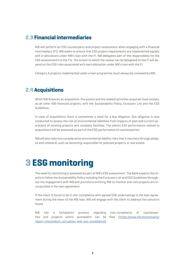# <span id="page-10-0"></span>**2.3 Financial intermediaries**

NIB will perform an ESG counterparty and project assessment when engaging with a financial intermediary (FI). NIB seeks to ensure that ESG project requirements are implemented equally well in allocations under NIB's loan with the FI. NIB delegates part of the responsibility for the ESG assessments to the FIs. The extent to which the review can be delegated to the FI will depend on the ESG risks associated with each allocation under NIB's loan with the FI.

Category A projects implemented under a loan programme must always be reviewed by NIB.

# **2.4 Acquisitions**

When NIB finances an acquisition, the assets and the related activities acquired must comply, as all other NIB-financed projects, with the Sustainability Policy, Exclusion List and the ESG Guidelines.

In case of acquisitions there is sometimes a need for a due diligence. Due diligence is also conducted to assess the risk of environmental liabilities from impacts of past and current operations of existing projects and company facilities. The clients ESG performance related to acquisitions will be assessed as part of the ESG performance of counterparties.

NIB will also take into consideration environmental liability risks that it may face through pledges and collateral, such as becoming responsible for polluted property or real estate.

# **3 ESG monitoring**

The need for monitoring is assessed as part of NIB's ESG assessment. The Bank expects the clients to follow the Sustainability Policy including the Exclusion List and ESG Guidelines throughout the engagement with NIB and provisions entitling NIB to monitor and visit projects are incorporated in the loan agreement.

If the client is found to be in non-compliance with agreed ESG undertakings in the loan agreement during the tenor of the NIB loan, NIB will engage with the client to address the concerns found.

NIB has a Complaints process regarding non-compliance of counterparties and projects where acomplaint can be filed ([https://www.nib.int/contacts/](https://www.nib.int/contacts/report-misconduct-corruption-and-non-compliance) [report-misconduct-corruption-and-non-compliance](https://www.nib.int/contacts/report-misconduct-corruption-and-non-compliance)).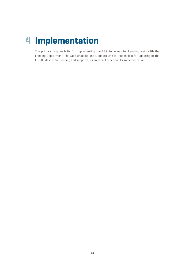# <span id="page-11-0"></span>**4 Implementation**

The primary responsibility for implementing the ESG Guidelines for Lending rests with the Lending Department. The Sustainability and Mandate Unit is responsible for updating of the ESG Guidelines for Lending and supports, as an expert function, its implementation.